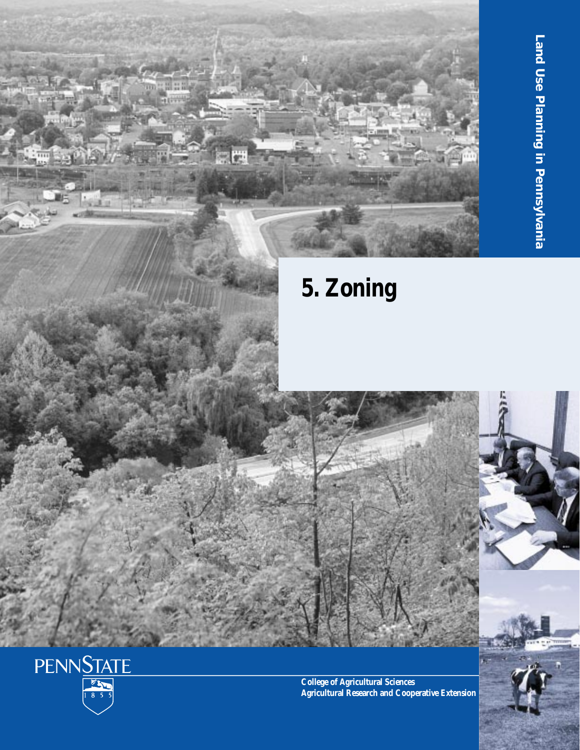



**College of Agricultural Sciences Agricultural Research and Cooperative Extension**

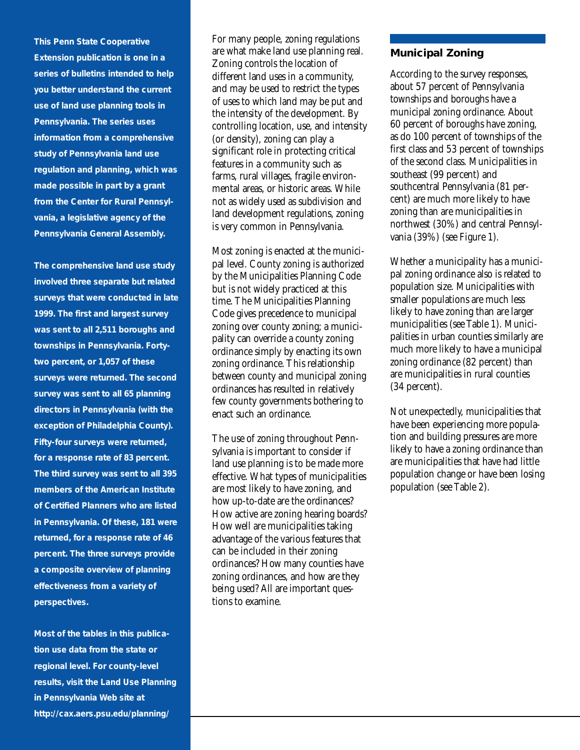**This Penn State Cooperative Extension publication is one in a series of bulletins intended to help you better understand the current use of land use planning tools in Pennsylvania. The series uses information from a comprehensive study of Pennsylvania land use regulation and planning, which was made possible in part by a grant from the Center for Rural Pennsylvania, a legislative agency of the Pennsylvania General Assembly.**

**The comprehensive land use study involved three separate but related surveys that were conducted in late 1999. The first and largest survey was sent to all 2,511 boroughs and townships in Pennsylvania. Fortytwo percent, or 1,057 of these surveys were returned. The second survey was sent to all 65 planning directors in Pennsylvania (with the exception of Philadelphia County). Fifty-four surveys were returned, for a response rate of 83 percent. The third survey was sent to all 395 members of the American Institute of Certified Planners who are listed in Pennsylvania. Of these, 181 were returned, for a response rate of 46 percent. The three surveys provide a composite overview of planning effectiveness from a variety of perspectives.**

**Most of the tables in this publication use data from the state or regional level. For county-level results, visit the Land Use Planning in Pennsylvania Web site at http://cax.aers.psu.edu/planning/**

For many people, zoning regulations are what make land use planning real. Zoning controls the location of different land uses in a community, and may be used to restrict the types of uses to which land may be put and the intensity of the development. By controlling location, use, and intensity (or density), zoning can play a significant role in protecting critical features in a community such as farms, rural villages, fragile environmental areas, or historic areas. While not as widely used as subdivision and land development regulations, zoning is very common in Pennsylvania.

Most zoning is enacted at the municipal level. County zoning is authorized by the Municipalities Planning Code but is not widely practiced at this time. The Municipalities Planning Code gives precedence to municipal zoning over county zoning; a municipality can override a county zoning ordinance simply by enacting its own zoning ordinance. This relationship between county and municipal zoning ordinances has resulted in relatively few county governments bothering to enact such an ordinance.

The use of zoning throughout Pennsylvania is important to consider if land use planning is to be made more effective. What types of municipalities are most likely to have zoning, and how up-to-date are the ordinances? How active are zoning hearing boards? How well are municipalities taking advantage of the various features that can be included in their zoning ordinances? How many counties have zoning ordinances, and how are they being used? All are important questions to examine.

### **Municipal Zoning**

According to the survey responses, about 57 percent of Pennsylvania townships and boroughs have a municipal zoning ordinance. About 60 percent of boroughs have zoning, as do 100 percent of townships of the first class and 53 percent of townships of the second class. Municipalities in southeast (99 percent) and southcentral Pennsylvania (81 percent) are much more likely to have zoning than are municipalities in northwest (30%) and central Pennsylvania (39%) (see Figure 1).

Whether a municipality has a municipal zoning ordinance also is related to population size. Municipalities with smaller populations are much less likely to have zoning than are larger municipalities (see Table 1). Municipalities in urban counties similarly are much more likely to have a municipal zoning ordinance (82 percent) than are municipalities in rural counties (34 percent).

Not unexpectedly, municipalities that have been experiencing more population and building pressures are more likely to have a zoning ordinance than are municipalities that have had little population change or have been losing population (see Table 2).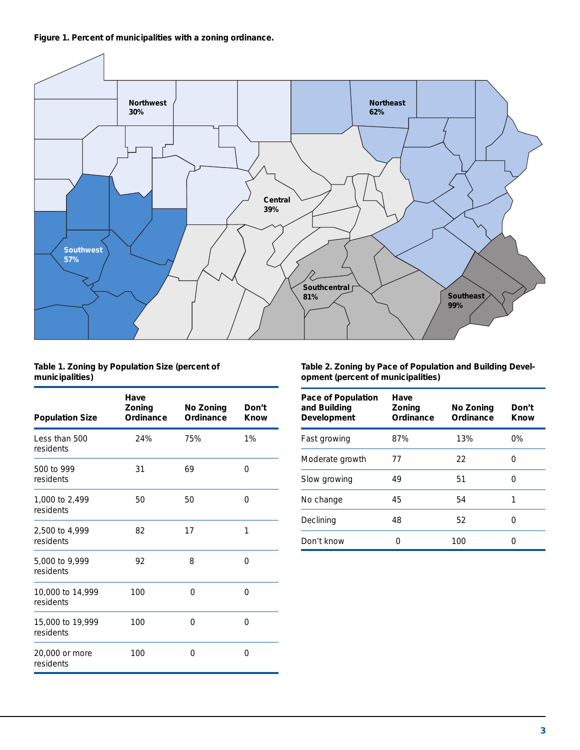**Figure 1. Percent of municipalities with a zoning ordinance.**



#### **Table 1. Zoning by Population Size (percent of municipalities)**

| <b>Population Size</b>        | Have<br>Zoning<br>Ordinance | No Zoning<br>Ordinance | Don't<br>Know |
|-------------------------------|-----------------------------|------------------------|---------------|
| Less than 500<br>residents    | 24%                         | 75%                    | 1%            |
| 500 to 999<br>residents       | 31                          | 69                     | 0             |
| 1,000 to 2,499<br>residents   | 50                          | 50                     | $\Omega$      |
| 2,500 to 4,999<br>residents   | 82                          | 17                     | 1             |
| 5,000 to 9,999<br>residents   | 92                          | 8                      | $\Omega$      |
| 10,000 to 14,999<br>residents | 100                         | $\Omega$               | $\Omega$      |
| 15,000 to 19,999<br>residents | 100                         | $\Omega$               | $\Omega$      |
| 20,000 or more<br>residents   | 100                         | 0                      | 0             |

**Table 2. Zoning by Pace of Population and Building Development (percent of municipalities)**

| Pace of Population<br>and Building<br>Development | <b>Have</b><br><b>Zoning</b><br>Ordinance | No Zoning<br>Ordinance | Don't<br>Know |
|---------------------------------------------------|-------------------------------------------|------------------------|---------------|
| Fast growing                                      | 87%                                       | 13%                    | 0%            |
| Moderate growth                                   | 77                                        | 22                     | Ω             |
| Slow growing                                      | 49                                        | 51                     | O             |
| No change                                         | 45                                        | 54                     |               |
| Declining                                         | 48                                        | 52                     |               |
| Don't know                                        |                                           | 100                    |               |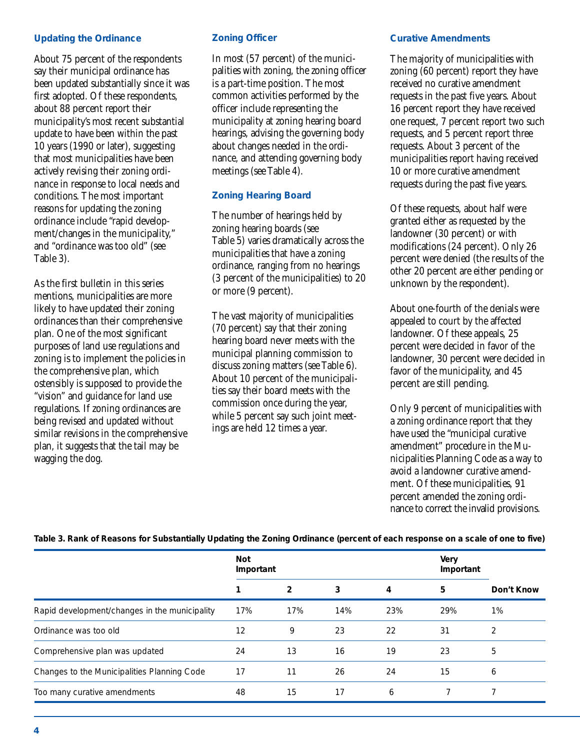## **Updating the Ordinance**

About 75 percent of the respondents say their municipal ordinance has been updated substantially since it was first adopted. Of these respondents, about 88 percent report their municipality's most recent substantial update to have been within the past 10 years (1990 or later), suggesting that most municipalities have been actively revising their zoning ordinance in response to local needs and conditions. The most important reasons for updating the zoning ordinance include "rapid development/changes in the municipality," and "ordinance was too old" (see Table 3).

As the first bulletin in this series mentions, municipalities are more likely to have updated their zoning ordinances than their comprehensive plan. One of the most significant purposes of land use regulations and zoning is to implement the policies in the comprehensive plan, which ostensibly is supposed to provide the "vision" and guidance for land use regulations. If zoning ordinances are being revised and updated without similar revisions in the comprehensive plan, it suggests that the tail may be wagging the dog.

# **Zoning Officer**

In most (57 percent) of the municipalities with zoning, the zoning officer is a part-time position. The most common activities performed by the officer include representing the municipality at zoning hearing board hearings, advising the governing body about changes needed in the ordinance, and attending governing body meetings (see Table 4).

# **Zoning Hearing Board**

The number of hearings held by zoning hearing boards (see Table 5) varies dramatically across the municipalities that have a zoning ordinance, ranging from no hearings (3 percent of the municipalities) to 20 or more (9 percent).

The vast majority of municipalities (70 percent) say that their zoning hearing board never meets with the municipal planning commission to discuss zoning matters (see Table 6). About 10 percent of the municipalities say their board meets with the commission once during the year, while 5 percent say such joint meetings are held 12 times a year.

## **Curative Amendments**

The majority of municipalities with zoning (60 percent) report they have received no curative amendment requests in the past five years. About 16 percent report they have received one request, 7 percent report two such requests, and 5 percent report three requests. About 3 percent of the municipalities report having received 10 or more curative amendment requests during the past five years.

Of these requests, about half were granted either as requested by the landowner (30 percent) or with modifications (24 percent). Only 26 percent were denied (the results of the other 20 percent are either pending or unknown by the respondent).

About one-fourth of the denials were appealed to court by the affected landowner. Of these appeals, 25 percent were decided in favor of the landowner, 30 percent were decided in favor of the municipality, and 45 percent are still pending.

Only 9 percent of municipalities with a zoning ordinance report that they have used the "municipal curative amendment" procedure in the Municipalities Planning Code as a way to avoid a landowner curative amendment. Of these municipalities, 91 percent amended the zoning ordinance to correct the invalid provisions.

|                                               | <b>Not</b><br>Important |     | <b>Very</b><br>Important |     |     |            |
|-----------------------------------------------|-------------------------|-----|--------------------------|-----|-----|------------|
|                                               |                         | 2   | 3                        | 4   | 5   | Don't Know |
| Rapid development/changes in the municipality | 17%                     | 17% | 14%                      | 23% | 29% | 1%         |
| Ordinance was too old                         | 12                      | 9   | 23                       | 22  | 31  | 2          |
| Comprehensive plan was updated                | 24                      | 13  | 16                       | 19  | 23  | 5          |
| Changes to the Municipalities Planning Code   | 17                      | 11  | 26                       | 24  | 15  | 6          |
| Too many curative amendments                  | 48                      | 15  | 17                       | 6   |     |            |

**Table 3. Rank of Reasons for Substantially Updating the Zoning Ordinance (percent of each response on a scale of one to five)**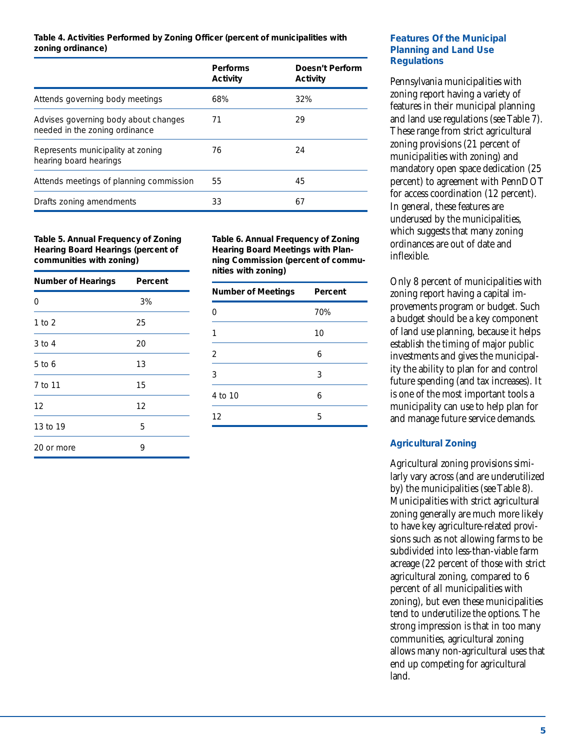#### **Table 4. Activities Performed by Zoning Officer (percent of municipalities with zoning ordinance)**

|                                                                        | <b>Performs</b><br><b>Activity</b> | Doesn't Perform<br><b>Activity</b> |
|------------------------------------------------------------------------|------------------------------------|------------------------------------|
| Attends governing body meetings                                        | 68%                                | 32%                                |
| Advises governing body about changes<br>needed in the zoning ordinance | 71                                 | 29                                 |
| Represents municipality at zoning<br>hearing board hearings            | 76                                 | 24                                 |
| Attends meetings of planning commission                                | 55                                 | 45                                 |
| Drafts zoning amendments                                               | 33                                 | 67                                 |

#### **Table 5. Annual Frequency of Zoning Hearing Board Hearings (percent of communities with zoning)**

| <b>Number of Hearings</b> | Percent |
|---------------------------|---------|
| 0                         | 3%      |
| 1 to 2                    | 25      |
| 3 to 4                    | 20      |
| 5 to 6                    | 13      |
| 7 to 11                   | 15      |
| 12                        | 12      |
| 13 to 19                  | 5       |
| 20 or more                | 9       |

**Table 6. Annual Frequency of Zoning Hearing Board Meetings with Planning Commission (percent of communities with zoning)**

| <b>Number of Meetings</b> | Percent |  |
|---------------------------|---------|--|
| ∩                         | 70%     |  |
|                           | 10      |  |
| 2                         | 6       |  |
| 3                         | 3       |  |
| 4 to 10                   | 6       |  |
| 12                        | 5       |  |

# **Features Of the Municipal Planning and Land Use Regulations**

Pennsylvania municipalities with zoning report having a variety of features in their municipal planning and land use regulations (see Table 7). These range from strict agricultural zoning provisions (21 percent of municipalities with zoning) and mandatory open space dedication (25 percent) to agreement with PennDOT for access coordination (12 percent). In general, these features are underused by the municipalities, which suggests that many zoning ordinances are out of date and inflexible.

Only 8 percent of municipalities with zoning report having a capital improvements program or budget. Such a budget should be a key component of land use planning, because it helps establish the timing of major public investments and gives the municipality the ability to plan for and control future spending (and tax increases). It is one of the most important tools a municipality can use to help plan for and manage future service demands.

# **Agricultural Zoning**

Agricultural zoning provisions similarly vary across (and are underutilized by) the municipalities (see Table 8). Municipalities with strict agricultural zoning generally are much more likely to have key agriculture-related provisions such as not allowing farms to be subdivided into less-than-viable farm acreage (22 percent of those with strict agricultural zoning, compared to 6 percent of all municipalities with zoning), but even these municipalities tend to underutilize the options. The strong impression is that in too many communities, agricultural zoning allows many non-agricultural uses that end up competing for agricultural land.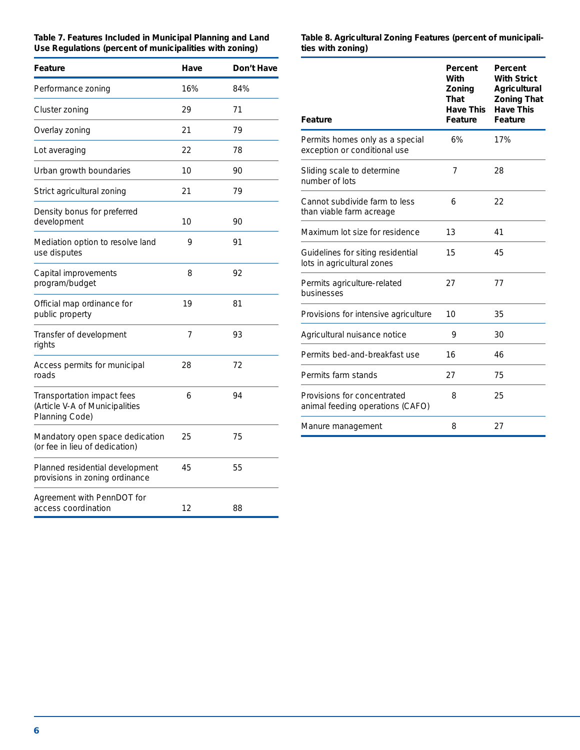| Table 7. Features Included in Municipal Planning and Land |  |
|-----------------------------------------------------------|--|
| Use Regulations (percent of municipalities with zoning)   |  |

| Feature                                                                        | Have | Don't Have |
|--------------------------------------------------------------------------------|------|------------|
| Performance zoning                                                             | 16%  | 84%        |
| Cluster zoning                                                                 | 29   | 71         |
| Overlay zoning                                                                 | 21   | 79         |
| Lot averaging                                                                  | 22   | 78         |
| Urban growth boundaries                                                        | 10   | 90         |
| Strict agricultural zoning                                                     | 21   | 79         |
| Density bonus for preferred<br>development                                     | 10   | 90         |
| Mediation option to resolve land<br>use disputes                               | 9    | 91         |
| Capital improvements<br>program/budget                                         | 8    | 92         |
| Official map ordinance for<br>public property                                  | 19   | 81         |
| Transfer of development<br>rights                                              | 7    | 93         |
| Access permits for municipal<br>roads                                          | 28   | 72         |
| Transportation impact fees<br>(Article V-A of Municipalities<br>Planning Code) | 6    | 94         |
| Mandatory open space dedication<br>(or fee in lieu of dedication)              | 25   | 75         |
| Planned residential development<br>provisions in zoning ordinance              | 45   | 55         |
| Agreement with PennDOT for<br>access coordination                              | 12   | 88         |

#### **Table 8. Agricultural Zoning Features (percent of municipalities with zoning)**

| <b>Feature</b>                                                  | Percent<br>With<br>Zoning<br>That<br><b>Have This</b><br>Feature | Percent<br><b>With Strict</b><br>Agricultural<br><b>Zoning That</b><br><b>Have This</b><br>Feature |
|-----------------------------------------------------------------|------------------------------------------------------------------|----------------------------------------------------------------------------------------------------|
| Permits homes only as a special<br>exception or conditional use | 6%                                                               | 17%                                                                                                |
| Sliding scale to determine<br>number of lots                    | 7                                                                | 28                                                                                                 |
| Cannot subdivide farm to less<br>than viable farm acreage       | 6                                                                | 22                                                                                                 |
| Maximum lot size for residence                                  | 13                                                               | 41                                                                                                 |
| Guidelines for siting residential<br>lots in agricultural zones | 15                                                               | 45                                                                                                 |
| Permits agriculture-related<br>businesses                       | 27                                                               | 77                                                                                                 |
| Provisions for intensive agriculture                            | 10                                                               | 35                                                                                                 |
| Agricultural nuisance notice                                    | 9                                                                | 30                                                                                                 |
| Permits bed-and-breakfast use                                   | 16                                                               | 46                                                                                                 |
| Permits farm stands                                             | 27                                                               | 75                                                                                                 |
| Provisions for concentrated<br>animal feeding operations (CAFO) | 8                                                                | 25                                                                                                 |
| Manure management                                               | 8                                                                | 27                                                                                                 |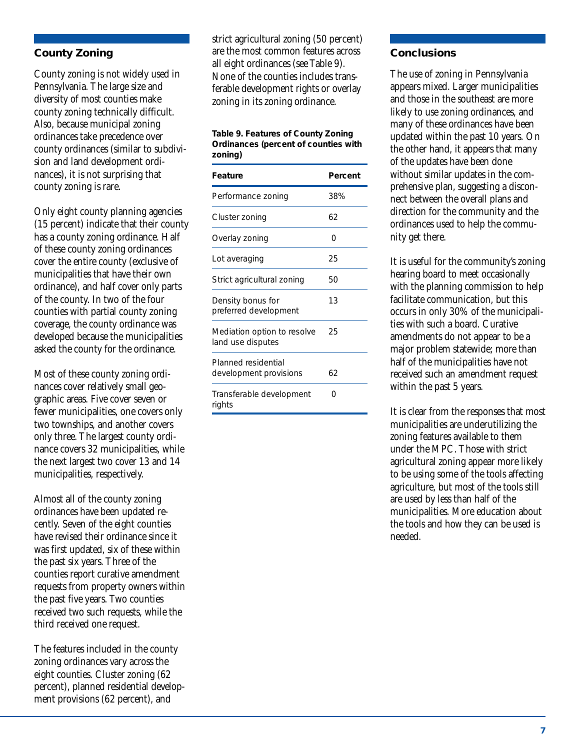# **County Zoning**

County zoning is not widely used in Pennsylvania. The large size and diversity of most counties make county zoning technically difficult. Also, because municipal zoning ordinances take precedence over county ordinances (similar to subdivision and land development ordinances), it is not surprising that county zoning is rare.

Only eight county planning agencies (15 percent) indicate that their county has a county zoning ordinance. Half of these county zoning ordinances cover the entire county (exclusive of municipalities that have their own ordinance), and half cover only parts of the county. In two of the four counties with partial county zoning coverage, the county ordinance was developed because the municipalities asked the county for the ordinance.

Most of these county zoning ordinances cover relatively small geographic areas. Five cover seven or fewer municipalities, one covers only two townships, and another covers only three. The largest county ordinance covers 32 municipalities, while the next largest two cover 13 and 14 municipalities, respectively.

Almost all of the county zoning ordinances have been updated recently. Seven of the eight counties have revised their ordinance since it was first updated, six of these within the past six years. Three of the counties report curative amendment requests from property owners within the past five years. Two counties received two such requests, while the third received one request.

The features included in the county zoning ordinances vary across the eight counties. Cluster zoning (62 percent), planned residential development provisions (62 percent), and

strict agricultural zoning (50 percent) are the most common features across all eight ordinances (see Table 9). None of the counties includes transferable development rights or overlay zoning in its zoning ordinance.

**Table 9. Features of County Zoning Ordinances (percent of counties with zoning)**

| <b>Feature</b>                                   | Percent |
|--------------------------------------------------|---------|
| Performance zoning                               | 38%     |
| Cluster zoning                                   | 62      |
| Overlay zoning                                   | O       |
| Lot averaging                                    | 25      |
| Strict agricultural zoning                       | 50      |
| Density bonus for<br>preferred development       | 13      |
| Mediation option to resolve<br>land use disputes | 25      |
| Planned residential<br>development provisions    | 62      |
| Transferable development<br>rights               | ∩       |

## **Conclusions**

The use of zoning in Pennsylvania appears mixed. Larger municipalities and those in the southeast are more likely to use zoning ordinances, and many of these ordinances have been updated within the past 10 years. On the other hand, it appears that many of the updates have been done without similar updates in the comprehensive plan, suggesting a disconnect between the overall plans and direction for the community and the ordinances used to help the community get there.

It is useful for the community's zoning hearing board to meet occasionally with the planning commission to help facilitate communication, but this occurs in only 30% of the municipalities with such a board. Curative amendments do not appear to be a major problem statewide; more than half of the municipalities have not received such an amendment request within the past 5 years.

It is clear from the responses that most municipalities are underutilizing the zoning features available to them under the MPC. Those with strict agricultural zoning appear more likely to be using some of the tools affecting agriculture, but most of the tools still are used by less than half of the municipalities. More education about the tools and how they can be used is needed.